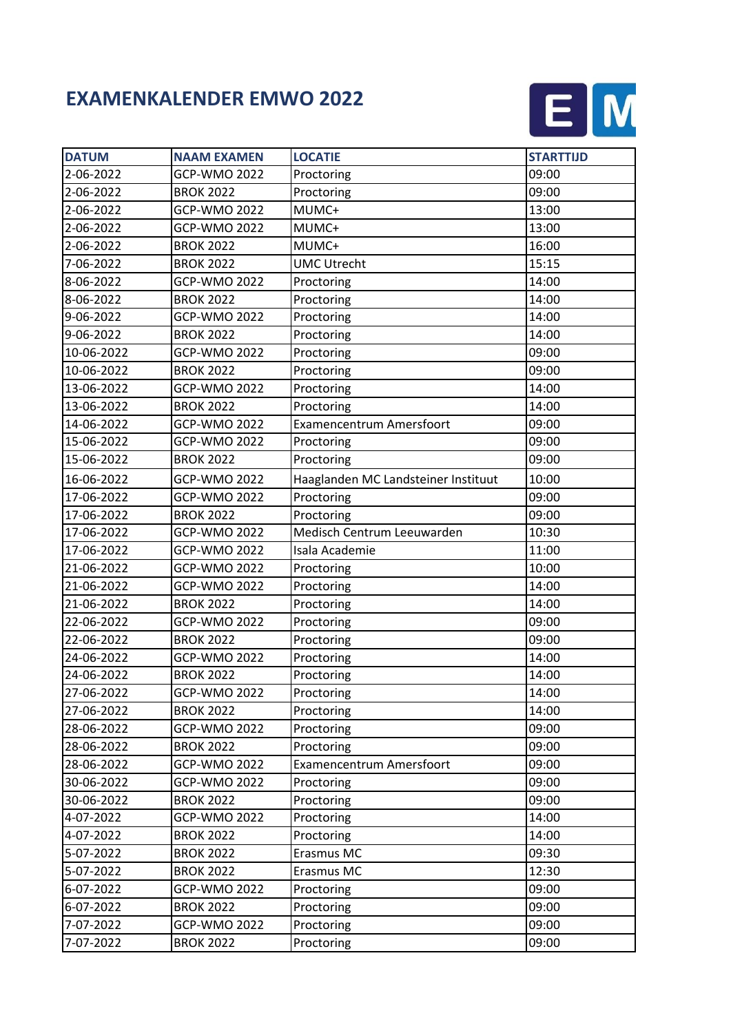## **EXAMENKALENDER EMWO 2022**



| <b>DATUM</b> | <b>NAAM EXAMEN</b>  | <b>LOCATIE</b>                      | <b>STARTTIJD</b> |
|--------------|---------------------|-------------------------------------|------------------|
| 2-06-2022    | <b>GCP-WMO 2022</b> | Proctoring                          | 09:00            |
| 2-06-2022    | <b>BROK 2022</b>    | Proctoring                          | 09:00            |
| 2-06-2022    | <b>GCP-WMO 2022</b> | MUMC+                               | 13:00            |
| 2-06-2022    | <b>GCP-WMO 2022</b> | MUMC+                               | 13:00            |
| 2-06-2022    | <b>BROK 2022</b>    | MUMC+                               | 16:00            |
| 7-06-2022    | <b>BROK 2022</b>    | <b>UMC Utrecht</b>                  | 15:15            |
| 8-06-2022    | GCP-WMO 2022        | Proctoring                          | 14:00            |
| 8-06-2022    | <b>BROK 2022</b>    | Proctoring                          | 14:00            |
| 9-06-2022    | <b>GCP-WMO 2022</b> | Proctoring                          | 14:00            |
| 9-06-2022    | <b>BROK 2022</b>    | Proctoring                          | 14:00            |
| 10-06-2022   | <b>GCP-WMO 2022</b> | Proctoring                          | 09:00            |
| 10-06-2022   | <b>BROK 2022</b>    | Proctoring                          | 09:00            |
| 13-06-2022   | <b>GCP-WMO 2022</b> | Proctoring                          | 14:00            |
| 13-06-2022   | <b>BROK 2022</b>    | Proctoring                          | 14:00            |
| 14-06-2022   | <b>GCP-WMO 2022</b> | <b>Examencentrum Amersfoort</b>     | 09:00            |
| 15-06-2022   | GCP-WMO 2022        | Proctoring                          | 09:00            |
| 15-06-2022   | <b>BROK 2022</b>    | Proctoring                          | 09:00            |
| 16-06-2022   | <b>GCP-WMO 2022</b> | Haaglanden MC Landsteiner Instituut | 10:00            |
| 17-06-2022   | <b>GCP-WMO 2022</b> | Proctoring                          | 09:00            |
| 17-06-2022   | <b>BROK 2022</b>    | Proctoring                          | 09:00            |
| 17-06-2022   | <b>GCP-WMO 2022</b> | Medisch Centrum Leeuwarden          | 10:30            |
| 17-06-2022   | <b>GCP-WMO 2022</b> | Isala Academie                      | 11:00            |
| 21-06-2022   | GCP-WMO 2022        | Proctoring                          | 10:00            |
| 21-06-2022   | <b>GCP-WMO 2022</b> | Proctoring                          | 14:00            |
| 21-06-2022   | <b>BROK 2022</b>    | Proctoring                          | 14:00            |
| 22-06-2022   | GCP-WMO 2022        | Proctoring                          | 09:00            |
| 22-06-2022   | <b>BROK 2022</b>    | Proctoring                          | 09:00            |
| 24-06-2022   | <b>GCP-WMO 2022</b> | Proctoring                          | 14:00            |
| 24-06-2022   | <b>BROK 2022</b>    | Proctoring                          | 14:00            |
| 27-06-2022   | <b>GCP-WMO 2022</b> | Proctoring                          | 14:00            |
| 27-06-2022   | <b>BROK 2022</b>    | Proctoring                          | 14:00            |
| 28-06-2022   | <b>GCP-WMO 2022</b> | Proctoring                          | 09:00            |
| 28-06-2022   | <b>BROK 2022</b>    | Proctoring                          | 09:00            |
| 28-06-2022   | <b>GCP-WMO 2022</b> | Examencentrum Amersfoort            | 09:00            |
| 30-06-2022   | <b>GCP-WMO 2022</b> | Proctoring                          | 09:00            |
| 30-06-2022   | <b>BROK 2022</b>    | Proctoring                          | 09:00            |
| 4-07-2022    | <b>GCP-WMO 2022</b> | Proctoring                          | 14:00            |
| 4-07-2022    | <b>BROK 2022</b>    | Proctoring                          | 14:00            |
| 5-07-2022    | <b>BROK 2022</b>    | Erasmus MC                          | 09:30            |
| 5-07-2022    | <b>BROK 2022</b>    | Erasmus MC                          | 12:30            |
| 6-07-2022    | GCP-WMO 2022        | Proctoring                          | 09:00            |
| 6-07-2022    | <b>BROK 2022</b>    | Proctoring                          | 09:00            |
| 7-07-2022    | <b>GCP-WMO 2022</b> | Proctoring                          | 09:00            |
| 7-07-2022    | <b>BROK 2022</b>    | Proctoring                          | 09:00            |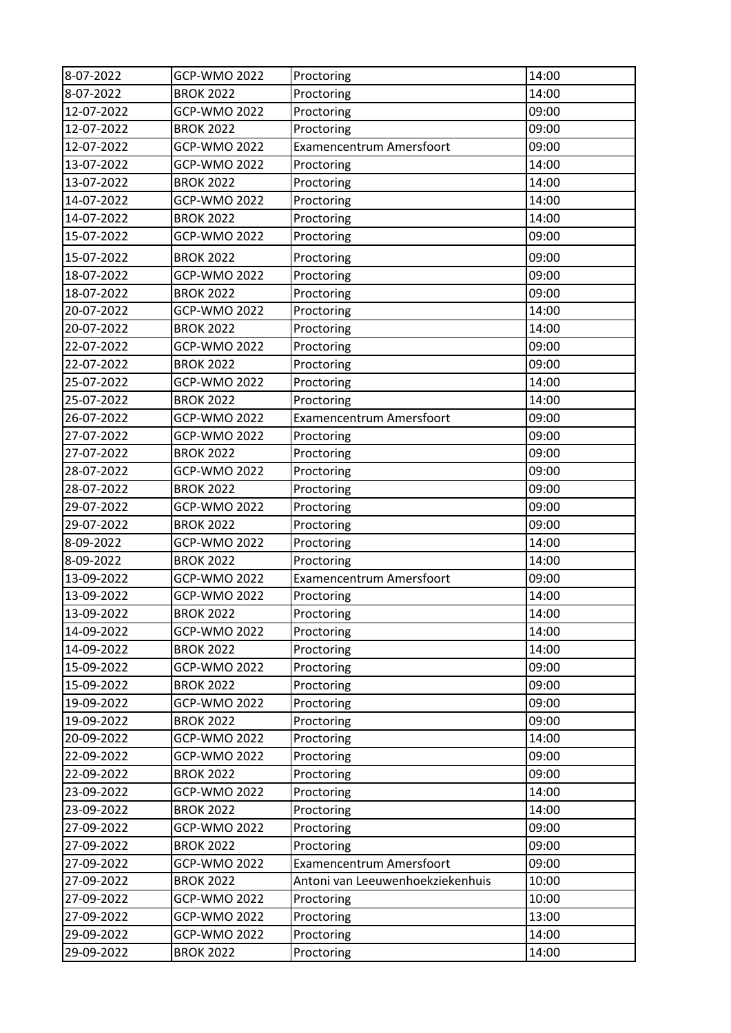| 8-07-2022  | <b>GCP-WMO 2022</b> | Proctoring                       | 14:00 |
|------------|---------------------|----------------------------------|-------|
| 8-07-2022  | <b>BROK 2022</b>    | Proctoring                       | 14:00 |
| 12-07-2022 | <b>GCP-WMO 2022</b> | Proctoring                       | 09:00 |
| 12-07-2022 | <b>BROK 2022</b>    | Proctoring                       | 09:00 |
| 12-07-2022 | GCP-WMO 2022        | <b>Examencentrum Amersfoort</b>  | 09:00 |
| 13-07-2022 | <b>GCP-WMO 2022</b> | Proctoring                       | 14:00 |
| 13-07-2022 | <b>BROK 2022</b>    | Proctoring                       | 14:00 |
| 14-07-2022 | <b>GCP-WMO 2022</b> | Proctoring                       | 14:00 |
| 14-07-2022 | <b>BROK 2022</b>    | Proctoring                       | 14:00 |
| 15-07-2022 | GCP-WMO 2022        | Proctoring                       | 09:00 |
| 15-07-2022 | <b>BROK 2022</b>    | Proctoring                       | 09:00 |
| 18-07-2022 | <b>GCP-WMO 2022</b> | Proctoring                       | 09:00 |
| 18-07-2022 | <b>BROK 2022</b>    | Proctoring                       | 09:00 |
| 20-07-2022 | <b>GCP-WMO 2022</b> | Proctoring                       | 14:00 |
| 20-07-2022 | <b>BROK 2022</b>    | Proctoring                       | 14:00 |
| 22-07-2022 | GCP-WMO 2022        | Proctoring                       | 09:00 |
| 22-07-2022 | <b>BROK 2022</b>    | Proctoring                       | 09:00 |
| 25-07-2022 | <b>GCP-WMO 2022</b> | Proctoring                       | 14:00 |
| 25-07-2022 | <b>BROK 2022</b>    | Proctoring                       | 14:00 |
| 26-07-2022 | <b>GCP-WMO 2022</b> | <b>Examencentrum Amersfoort</b>  | 09:00 |
| 27-07-2022 | <b>GCP-WMO 2022</b> | Proctoring                       | 09:00 |
| 27-07-2022 | <b>BROK 2022</b>    | Proctoring                       | 09:00 |
| 28-07-2022 | GCP-WMO 2022        | Proctoring                       | 09:00 |
| 28-07-2022 | <b>BROK 2022</b>    | Proctoring                       | 09:00 |
| 29-07-2022 | <b>GCP-WMO 2022</b> | Proctoring                       | 09:00 |
| 29-07-2022 | <b>BROK 2022</b>    | Proctoring                       | 09:00 |
| 8-09-2022  | <b>GCP-WMO 2022</b> | Proctoring                       | 14:00 |
| 8-09-2022  | <b>BROK 2022</b>    | Proctoring                       | 14:00 |
| 13-09-2022 | <b>GCP-WMO 2022</b> | <b>Examencentrum Amersfoort</b>  | 09:00 |
| 13-09-2022 | <b>GCP-WMO 2022</b> | Proctoring                       | 14:00 |
| 13-09-2022 | <b>BROK 2022</b>    | Proctoring                       | 14:00 |
| 14-09-2022 | <b>GCP-WMO 2022</b> | Proctoring                       | 14:00 |
| 14-09-2022 | <b>BROK 2022</b>    | Proctoring                       | 14:00 |
| 15-09-2022 | <b>GCP-WMO 2022</b> | Proctoring                       | 09:00 |
| 15-09-2022 | <b>BROK 2022</b>    | Proctoring                       | 09:00 |
| 19-09-2022 | <b>GCP-WMO 2022</b> | Proctoring                       | 09:00 |
| 19-09-2022 | <b>BROK 2022</b>    | Proctoring                       | 09:00 |
| 20-09-2022 | <b>GCP-WMO 2022</b> | Proctoring                       | 14:00 |
| 22-09-2022 | <b>GCP-WMO 2022</b> | Proctoring                       | 09:00 |
| 22-09-2022 | <b>BROK 2022</b>    | Proctoring                       | 09:00 |
| 23-09-2022 | <b>GCP-WMO 2022</b> | Proctoring                       | 14:00 |
| 23-09-2022 | <b>BROK 2022</b>    | Proctoring                       | 14:00 |
| 27-09-2022 | GCP-WMO 2022        | Proctoring                       | 09:00 |
| 27-09-2022 | <b>BROK 2022</b>    | Proctoring                       | 09:00 |
| 27-09-2022 | <b>GCP-WMO 2022</b> | Examencentrum Amersfoort         | 09:00 |
| 27-09-2022 | <b>BROK 2022</b>    | Antoni van Leeuwenhoekziekenhuis | 10:00 |
| 27-09-2022 | <b>GCP-WMO 2022</b> | Proctoring                       | 10:00 |
| 27-09-2022 | <b>GCP-WMO 2022</b> | Proctoring                       | 13:00 |
| 29-09-2022 | <b>GCP-WMO 2022</b> | Proctoring                       | 14:00 |
| 29-09-2022 | <b>BROK 2022</b>    | Proctoring                       | 14:00 |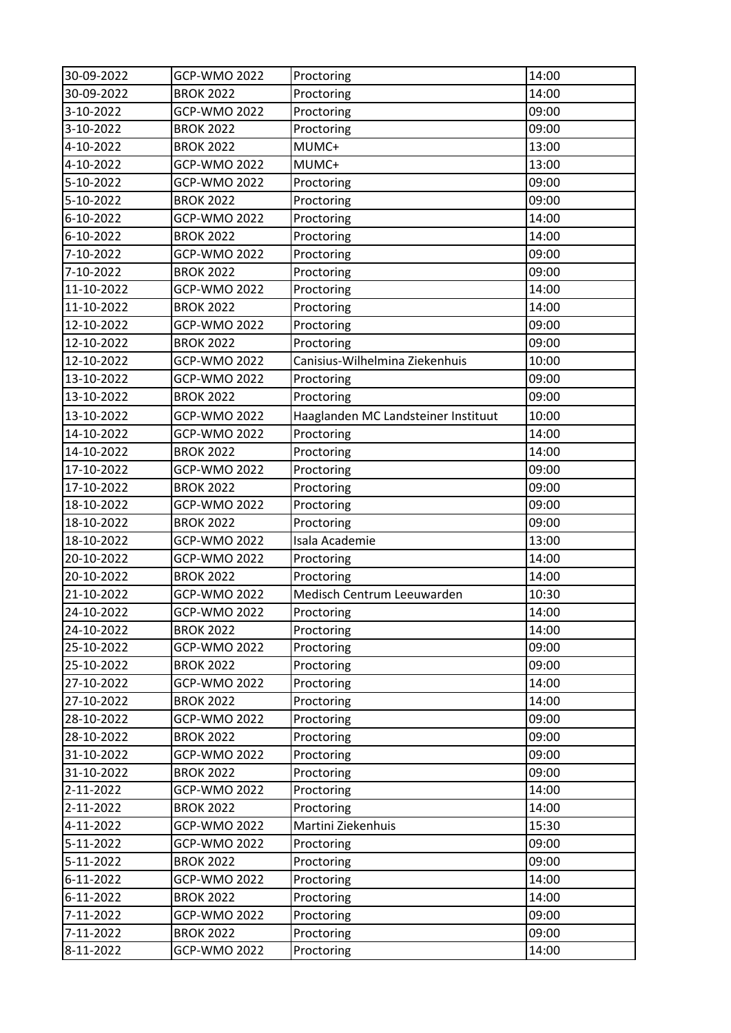| 30-09-2022 | <b>GCP-WMO 2022</b> | Proctoring                          | 14:00 |
|------------|---------------------|-------------------------------------|-------|
| 30-09-2022 | <b>BROK 2022</b>    | Proctoring                          | 14:00 |
| 3-10-2022  | <b>GCP-WMO 2022</b> | Proctoring                          | 09:00 |
| 3-10-2022  | <b>BROK 2022</b>    | Proctoring                          | 09:00 |
| 4-10-2022  | <b>BROK 2022</b>    | MUMC+                               | 13:00 |
| 4-10-2022  | <b>GCP-WMO 2022</b> | MUMC+                               | 13:00 |
| 5-10-2022  | GCP-WMO 2022        | Proctoring                          | 09:00 |
| 5-10-2022  | <b>BROK 2022</b>    | Proctoring                          | 09:00 |
| 6-10-2022  | <b>GCP-WMO 2022</b> | Proctoring                          | 14:00 |
| 6-10-2022  | <b>BROK 2022</b>    | Proctoring                          | 14:00 |
| 7-10-2022  | <b>GCP-WMO 2022</b> | Proctoring                          | 09:00 |
| 7-10-2022  | <b>BROK 2022</b>    | Proctoring                          | 09:00 |
| 11-10-2022 | <b>GCP-WMO 2022</b> | Proctoring                          | 14:00 |
| 11-10-2022 | <b>BROK 2022</b>    | Proctoring                          | 14:00 |
| 12-10-2022 | <b>GCP-WMO 2022</b> | Proctoring                          | 09:00 |
| 12-10-2022 | <b>BROK 2022</b>    | Proctoring                          | 09:00 |
| 12-10-2022 | GCP-WMO 2022        | Canisius-Wilhelmina Ziekenhuis      | 10:00 |
| 13-10-2022 | <b>GCP-WMO 2022</b> | Proctoring                          | 09:00 |
| 13-10-2022 | <b>BROK 2022</b>    | Proctoring                          | 09:00 |
| 13-10-2022 | <b>GCP-WMO 2022</b> | Haaglanden MC Landsteiner Instituut | 10:00 |
| 14-10-2022 | <b>GCP-WMO 2022</b> | Proctoring                          | 14:00 |
| 14-10-2022 | <b>BROK 2022</b>    | Proctoring                          | 14:00 |
| 17-10-2022 | <b>GCP-WMO 2022</b> | Proctoring                          | 09:00 |
| 17-10-2022 | <b>BROK 2022</b>    | Proctoring                          | 09:00 |
| 18-10-2022 | <b>GCP-WMO 2022</b> | Proctoring                          | 09:00 |
| 18-10-2022 | <b>BROK 2022</b>    | Proctoring                          | 09:00 |
| 18-10-2022 | <b>GCP-WMO 2022</b> | Isala Academie                      | 13:00 |
| 20-10-2022 | GCP-WMO 2022        | Proctoring                          | 14:00 |
| 20-10-2022 | <b>BROK 2022</b>    | Proctoring                          | 14:00 |
| 21-10-2022 | <b>GCP-WMO 2022</b> | Medisch Centrum Leeuwarden          | 10:30 |
| 24-10-2022 | GCP-WMO 2022        | Proctoring                          | 14:00 |
| 24-10-2022 | <b>BROK 2022</b>    | Proctoring                          | 14:00 |
| 25-10-2022 | <b>GCP-WMO 2022</b> | Proctoring                          | 09:00 |
| 25-10-2022 | <b>BROK 2022</b>    | Proctoring                          | 09:00 |
| 27-10-2022 | <b>GCP-WMO 2022</b> | Proctoring                          | 14:00 |
| 27-10-2022 | <b>BROK 2022</b>    | Proctoring                          | 14:00 |
| 28-10-2022 | GCP-WMO 2022        | Proctoring                          | 09:00 |
| 28-10-2022 | <b>BROK 2022</b>    | Proctoring                          | 09:00 |
| 31-10-2022 | <b>GCP-WMO 2022</b> | Proctoring                          | 09:00 |
| 31-10-2022 | <b>BROK 2022</b>    | Proctoring                          | 09:00 |
| 2-11-2022  | <b>GCP-WMO 2022</b> | Proctoring                          | 14:00 |
| 2-11-2022  | <b>BROK 2022</b>    | Proctoring                          | 14:00 |
| 4-11-2022  | <b>GCP-WMO 2022</b> | Martini Ziekenhuis                  | 15:30 |
| 5-11-2022  | <b>GCP-WMO 2022</b> | Proctoring                          | 09:00 |
| 5-11-2022  | <b>BROK 2022</b>    | Proctoring                          | 09:00 |
| 6-11-2022  | GCP-WMO 2022        | Proctoring                          | 14:00 |
| 6-11-2022  | <b>BROK 2022</b>    | Proctoring                          | 14:00 |
| 7-11-2022  | GCP-WMO 2022        | Proctoring                          | 09:00 |
| 7-11-2022  | <b>BROK 2022</b>    | Proctoring                          | 09:00 |
| 8-11-2022  | GCP-WMO 2022        | Proctoring                          | 14:00 |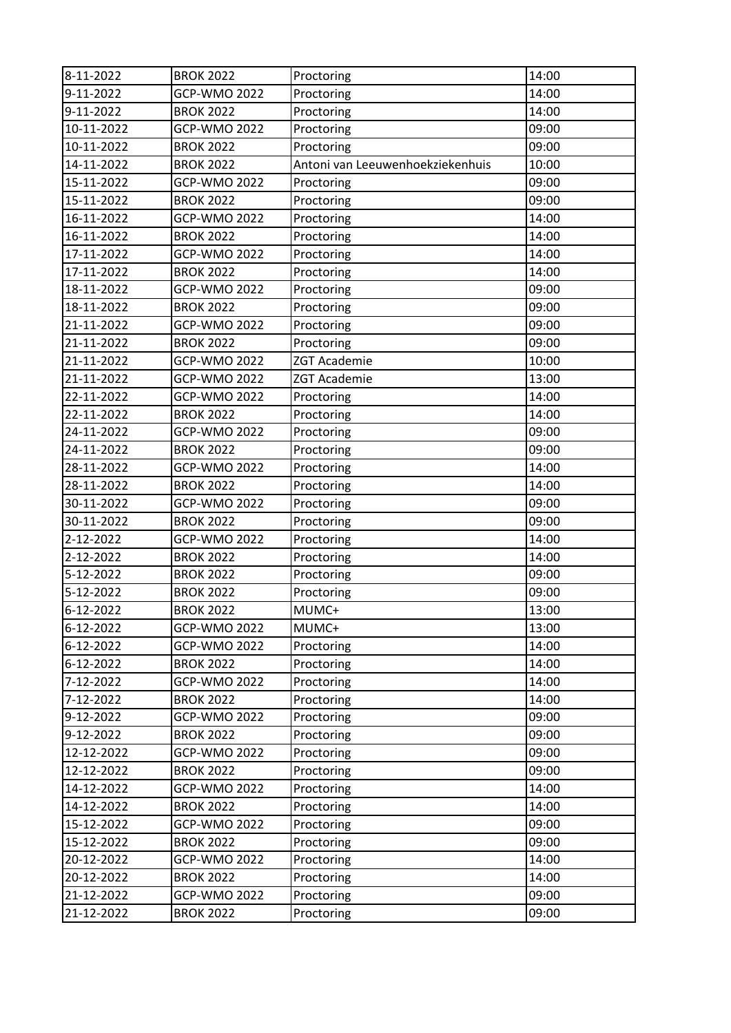| 8-11-2022  | <b>BROK 2022</b>    | Proctoring                       | 14:00 |
|------------|---------------------|----------------------------------|-------|
| 9-11-2022  | <b>GCP-WMO 2022</b> | Proctoring                       | 14:00 |
| 9-11-2022  | <b>BROK 2022</b>    | Proctoring                       | 14:00 |
| 10-11-2022 | <b>GCP-WMO 2022</b> | Proctoring                       | 09:00 |
| 10-11-2022 | <b>BROK 2022</b>    | Proctoring                       | 09:00 |
| 14-11-2022 | <b>BROK 2022</b>    | Antoni van Leeuwenhoekziekenhuis | 10:00 |
| 15-11-2022 | <b>GCP-WMO 2022</b> | Proctoring                       | 09:00 |
| 15-11-2022 | <b>BROK 2022</b>    | Proctoring                       | 09:00 |
| 16-11-2022 | <b>GCP-WMO 2022</b> | Proctoring                       | 14:00 |
| 16-11-2022 | <b>BROK 2022</b>    | Proctoring                       | 14:00 |
| 17-11-2022 | <b>GCP-WMO 2022</b> | Proctoring                       | 14:00 |
| 17-11-2022 | <b>BROK 2022</b>    | Proctoring                       | 14:00 |
| 18-11-2022 | <b>GCP-WMO 2022</b> | Proctoring                       | 09:00 |
| 18-11-2022 | <b>BROK 2022</b>    | Proctoring                       | 09:00 |
| 21-11-2022 | <b>GCP-WMO 2022</b> | Proctoring                       | 09:00 |
| 21-11-2022 | <b>BROK 2022</b>    | Proctoring                       | 09:00 |
| 21-11-2022 | GCP-WMO 2022        | <b>ZGT Academie</b>              | 10:00 |
| 21-11-2022 | GCP-WMO 2022        | <b>ZGT Academie</b>              | 13:00 |
| 22-11-2022 | GCP-WMO 2022        | Proctoring                       | 14:00 |
| 22-11-2022 | <b>BROK 2022</b>    | Proctoring                       | 14:00 |
| 24-11-2022 | <b>GCP-WMO 2022</b> | Proctoring                       | 09:00 |
| 24-11-2022 | <b>BROK 2022</b>    | Proctoring                       | 09:00 |
| 28-11-2022 | <b>GCP-WMO 2022</b> | Proctoring                       | 14:00 |
| 28-11-2022 | <b>BROK 2022</b>    | Proctoring                       | 14:00 |
| 30-11-2022 | <b>GCP-WMO 2022</b> | Proctoring                       | 09:00 |
| 30-11-2022 | <b>BROK 2022</b>    | Proctoring                       | 09:00 |
| 2-12-2022  | GCP-WMO 2022        | Proctoring                       | 14:00 |
| 2-12-2022  | <b>BROK 2022</b>    | Proctoring                       | 14:00 |
| 5-12-2022  | <b>BROK 2022</b>    | Proctoring                       | 09:00 |
| 5-12-2022  | <b>BROK 2022</b>    | Proctoring                       | 09:00 |
| 6-12-2022  | <b>BROK 2022</b>    | MUMC+                            | 13:00 |
| 6-12-2022  | <b>GCP-WMO 2022</b> | MUMC+                            | 13:00 |
| 6-12-2022  | <b>GCP-WMO 2022</b> | Proctoring                       | 14:00 |
| 6-12-2022  | <b>BROK 2022</b>    | Proctoring                       | 14:00 |
| 7-12-2022  | <b>GCP-WMO 2022</b> | Proctoring                       | 14:00 |
| 7-12-2022  | <b>BROK 2022</b>    | Proctoring                       | 14:00 |
| 9-12-2022  | <b>GCP-WMO 2022</b> | Proctoring                       | 09:00 |
| 9-12-2022  | <b>BROK 2022</b>    | Proctoring                       | 09:00 |
| 12-12-2022 | <b>GCP-WMO 2022</b> | Proctoring                       | 09:00 |
| 12-12-2022 | <b>BROK 2022</b>    | Proctoring                       | 09:00 |
| 14-12-2022 | <b>GCP-WMO 2022</b> | Proctoring                       | 14:00 |
| 14-12-2022 | <b>BROK 2022</b>    | Proctoring                       | 14:00 |
| 15-12-2022 | GCP-WMO 2022        | Proctoring                       | 09:00 |
| 15-12-2022 | <b>BROK 2022</b>    | Proctoring                       | 09:00 |
| 20-12-2022 | <b>GCP-WMO 2022</b> | Proctoring                       | 14:00 |
| 20-12-2022 | <b>BROK 2022</b>    | Proctoring                       | 14:00 |
| 21-12-2022 | <b>GCP-WMO 2022</b> | Proctoring                       | 09:00 |
| 21-12-2022 | <b>BROK 2022</b>    | Proctoring                       | 09:00 |